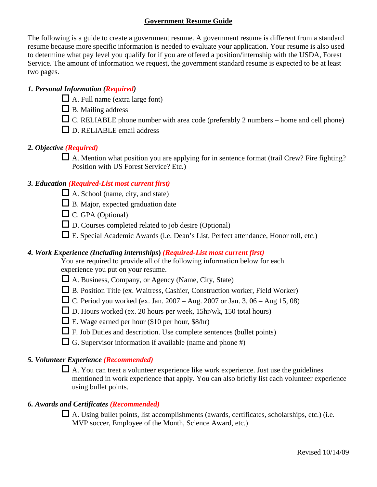# **Government Resume Guide**

The following is a guide to create a government resume. A government resume is different from a standard resume because more specific information is needed to evaluate your application. Your resume is also used to determine what pay level you qualify for if you are offered a position/internship with the USDA, Forest Service. The amount of information we request, the government standard resume is expected to be at least two pages.

# *1. Personal Information (Required)*

- $\Box$  A. Full name (extra large font)
- $\Box$  B. Mailing address
- $\Box$  C. RELIABLE phone number with area code (preferably 2 numbers home and cell phone)
- $\Box$  D. RELIABLE email address

# *2. Objective (Required)*

 $\Box$  A. Mention what position you are applying for in sentence format (trail Crew? Fire fighting? Position with US Forest Service? Etc.)

# *3. Education (Required-List most current first)*

- $\Box$  A. School (name, city, and state)
- $\Box$  B. Major, expected graduation date
- $\Box$  C. GPA (Optional)
- $\square$  D. Courses completed related to job desire (Optional)
- $\Box$  E. Special Academic Awards (i.e. Dean's List, Perfect attendance, Honor roll, etc.)

# *4. Work Experience (Including internships***)** *(Required-List most current first)*

You are required to provide all of the following information below for each experience you put on your resume.

- A. Business, Company, or Agency (Name, City, State)
- B. Position Title (ex. Waitress, Cashier, Construction worker, Field Worker)
- $\Box$  C. Period you worked (ex. Jan. 2007 Aug. 2007 or Jan. 3, 06 Aug 15, 08)
- $\Box$  D. Hours worked (ex. 20 hours per week, 15hr/wk, 150 total hours)
- E. Wage earned per hour (\$10 per hour, \$8/hr)
- $\Box$  F. Job Duties and description. Use complete sentences (bullet points)
- $\Box$  G. Supervisor information if available (name and phone #)

# *5. Volunteer Experience (Recommended)*

 $\Box$  A. You can treat a volunteer experience like work experience. Just use the guidelines mentioned in work experience that apply. You can also briefly list each volunteer experience using bullet points.

# *6. Awards and Certificates (Recommended)*

 $\Box$  A. Using bullet points, list accomplishments (awards, certificates, scholarships, etc.) (i.e. MVP soccer, Employee of the Month, Science Award, etc.)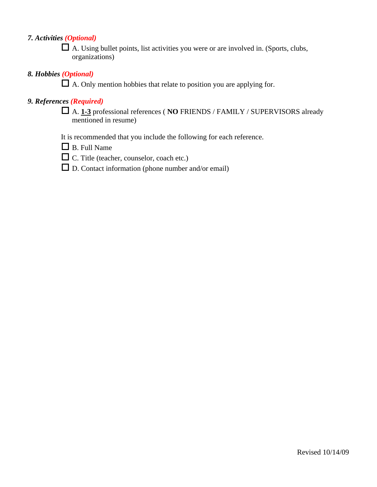# *7. Activities (Optional)*

 A. Using bullet points, list activities you were or are involved in. (Sports, clubs, organizations)

#### *8. Hobbies (Optional)*

 $\Box$  A. Only mention hobbies that relate to position you are applying for.

# *9. References (Required)*

 A. **1-3** professional references ( **NO** FRIENDS / FAMILY / SUPERVISORS already mentioned in resume)

It is recommended that you include the following for each reference.

- $\Box$  B. Full Name
- C. Title (teacher, counselor, coach etc.)
- $\square$  D. Contact information (phone number and/or email)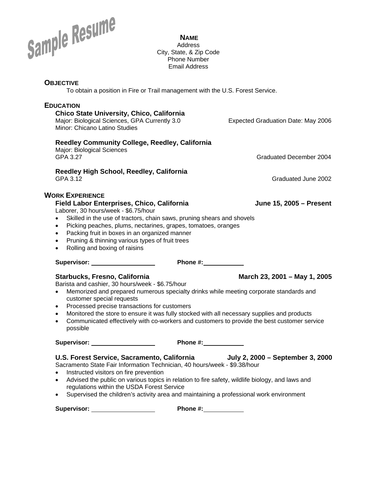

**NAME** Address City, State, & Zip Code Phone Number Email Address

#### **OBJECTIVE**

To obtain a position in Fire or Trail management with the U.S. Forest Service.

# **EDUCATION Chico State University, Chico, California**  Major: Biological Sciences, GPA Currently 3.0 Expected Graduation Date: May 2006 Minor: Chicano Latino Studies **Reedley Community College, Reedley, California**  Major: Biological Sciences GPA 3.27 Graduated December 2004 **Reedley High School, Reedley, California**  GPA 3.12 Graduated June 2002 **WORK EXPERIENCE Field Labor Enterprises, Chico, California Chico and Bildies and School June 15, 2005 – Present** Laborer, 30 hours/week - \$6.75/hour • Skilled in the use of tractors, chain saws, pruning shears and shovels • Picking peaches, plums, nectarines, grapes, tomatoes, oranges • Packing fruit in boxes in an organized manner • Pruning & thinning various types of fruit trees • Rolling and boxing of raisins **Supervisor: Phone #: Starbucks, Fresno, California March 23, 2001 – May 1, 2005** Barista and cashier, 30 hours/week - \$6.75/hour • Memorized and prepared numerous specialty drinks while meeting corporate standards and customer special requests • Processed precise transactions for customers • Monitored the store to ensure it was fully stocked with all necessary supplies and products • Communicated effectively with co-workers and customers to provide the best customer service possible **Supervisor: Phone #: U.S. Forest Service, Sacramento, California July 2, 2000 – September 3, 2000** Sacramento State Fair Information Technician, 40 hours/week - \$9.38/hour • Instructed visitors on fire prevention • Advised the public on various topics in relation to fire safety, wildlife biology, and laws and regulations within the USDA Forest Service

• Supervised the children's activity area and maintaining a professional work environment

**Supervisor: Phone #:**